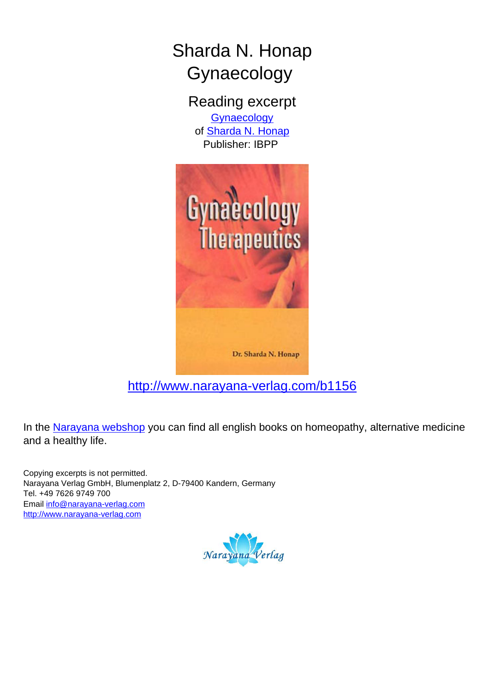# Sharda N. Honap Gynaecology

Reading excerpt **[Gynaecology](http://www.narayana-verlag.com/Gynaecology-Sharda-N-Honap/b1156/partner/leseprobe)** of **[Sharda N. Honap](http://www.narayana-verlag.com/Sharda-N-Honap/a381/partner/leseprobe)** Publisher: IBPP



## [http://www.narayana-verlag.com/b1156](http://www.narayana-verlag.com/Gynaecology-Sharda-N-Honap/b1156/partner/leseprobe)

In the [Narayana webshop](http://www.narayana-verlag.com/partner/leseprobe) you can find all english books on homeopathy, alternative medicine and a healthy life.

Copying excerpts is not permitted. Narayana Verlag GmbH, Blumenplatz 2, D-79400 Kandern, Germany Tel. +49 7626 9749 700 Email [info@narayana-verlag.com](mailto:info@narayana-verlag.com) [http://www.narayana-verlag.com](http://www.narayana-verlag.com/partner/leseprobe)

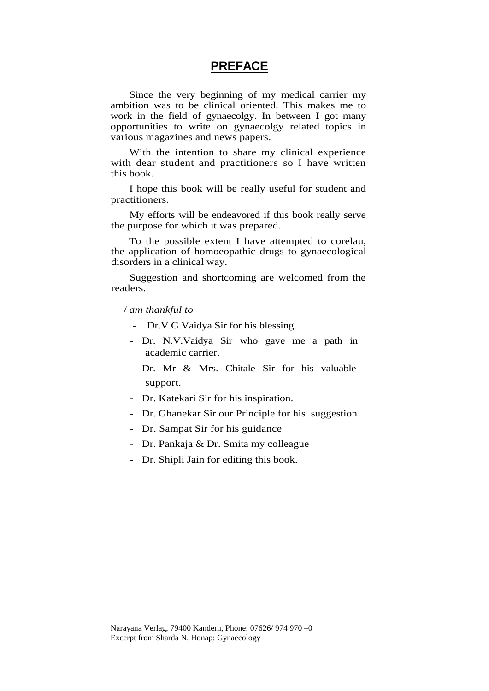#### **PREFACE**

Since the very beginning of my medical carrier my ambition was to be clinical oriented. This makes me to work in the field of gynaecolgy. In between I got many opportunities to write on gynaecolgy related topics in various magazines and news papers.

With the intention to share my clinical experience with dear student and practitioners so I have written this book.

I hope this book will be really useful for student and practitioners.

My efforts will be endeavored if this book really serve the purpose for which it was prepared.

To the possible extent I have attempted to corelau, the application of homoeopathic drugs to gynaecological disorders in a clinical way.

Suggestion and shortcoming are welcomed from the readers.

#### / *am thankful to*

- Dr.V.G.Vaidya Sir for his blessing.
- Dr. N.V.Vaidya Sir who gave me a path in academic carrier.
- Dr. Mr & Mrs. Chitale Sir for his valuable support.
- Dr. Katekari Sir for his inspiration.
- Dr. Ghanekar Sir our Principle for his suggestion
- Dr. Sampat Sir for his guidance
- Dr. Pankaja & Dr. Smita my colleague
- Dr. Shipli Jain for editing this book.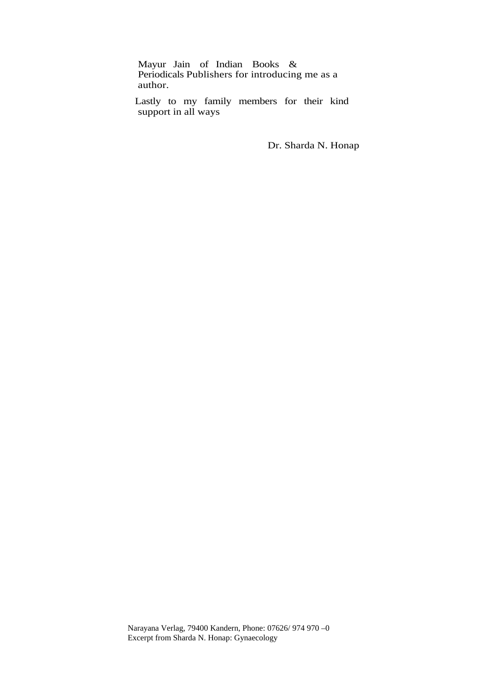Mayur Jain of Indian Books & Periodicals Publishers for introducing me as a author.

Lastly to my family members for their kind support in all ways

Dr. Sharda N. Honap

Narayana Verlag, 79400 Kandern, Phone: 07626/ 974 970 –0 Excerpt from Sharda N. Honap: Gynaecology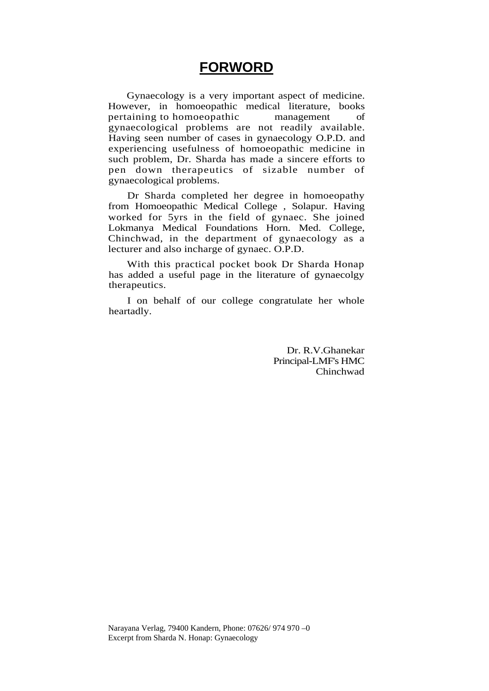### **FORWORD**

Gynaecology is a very important aspect of medicine. However, in homoeopathic medical literature, books pertaining to homoeopathic management of gynaecological problems are not readily available. Having seen number of cases in gynaecology O.P.D. and experiencing usefulness of homoeopathic medicine in such problem, Dr. Sharda has made a sincere efforts to pen down therapeutics of sizable number of gynaecological problems.

Dr Sharda completed her degree in homoeopathy from Homoeopathic Medical College , Solapur. Having worked for 5yrs in the field of gynaec. She joined Lokmanya Medical Foundations Horn. Med. College, Chinchwad, in the department of gynaecology as a lecturer and also incharge of gynaec. O.P.D.

With this practical pocket book Dr Sharda Honap has added a useful page in the literature of gynaecolgy therapeutics.

I on behalf of our college congratulate her whole heartadly.

> Dr. R.V.Ghanekar Principal-LMF's HMC Chinchwad